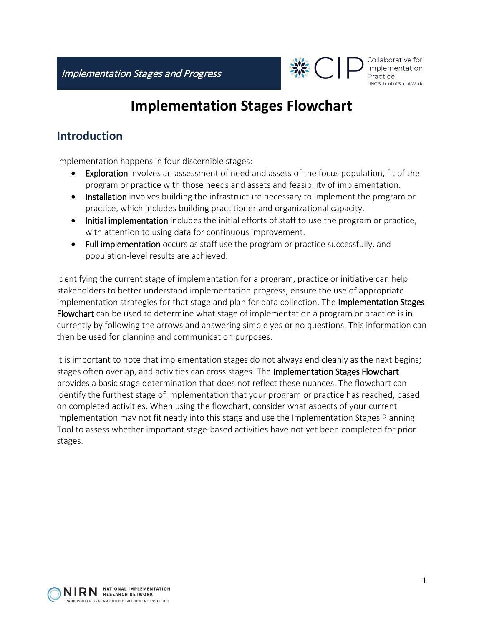

Collaborative for Implementation Practice UNC School of Social Work

## **Implementation Stages Flowchart**

## **Introduction**

Implementation happens in four discernible stages:

- Exploration involves an assessment of need and assets of the focus population, fit of the program or practice with those needs and assets and feasibility of implementation.
- Installation involves building the infrastructure necessary to implement the program or practice, which includes building practitioner and organizational capacity.
- Initial implementation includes the initial efforts of staff to use the program or practice, with attention to using data for continuous improvement.
- Full implementation occurs as staff use the program or practice successfully, and population-level results are achieved.

Identifying the current stage of implementation for a program, practice or initiative can help stakeholders to better understand implementation progress, ensure the use of appropriate implementation strategies for that stage and plan for data collection. The Implementation Stages Flowchart can be used to determine what stage of implementation a program or practice is in currently by following the arrows and answering simple yes or no questions. This information can then be used for planning and communication purposes.

It is important to note that implementation stages do not always end cleanly as the next begins; stages often overlap, and activities can cross stages. The Implementation Stages Flowchart provides a basic stage determination that does not reflect these nuances. The flowchart can identify the furthest stage of implementation that your program or practice has reached, based on completed activities. When using the flowchart, consider what aspects of your current implementation may not fit neatly into this stage and use the Implementation Stages Planning Tool to assess whether important stage-based activities have not yet been completed for prior stages.